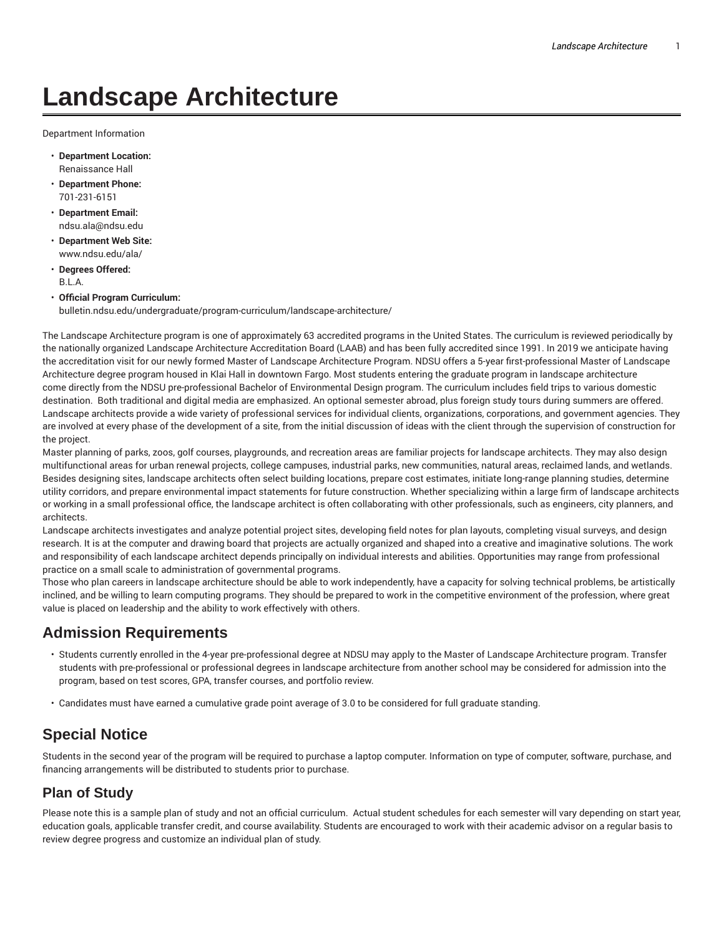# **Landscape Architecture**

Department Information

- **Department Location:** Renaissance Hall
- **Department Phone:** 701-231-6151
- **Department Email:** ndsu.ala@ndsu.edu
- **Department Web Site:** www.ndsu.edu/ala/
- **Degrees Offered:** B.L.A.
- **Official Program Curriculum:** bulletin.ndsu.edu/undergraduate/program-curriculum/landscape-architecture/

The Landscape Architecture program is one of approximately 63 accredited programs in the United States. The curriculum is reviewed periodically by the nationally organized Landscape Architecture Accreditation Board (LAAB) and has been fully accredited since 1991. In 2019 we anticipate having the accreditation visit for our newly formed Master of Landscape Architecture Program. NDSU offers a 5-year first-professional Master of Landscape Architecture degree program housed in Klai Hall in downtown Fargo. Most students entering the graduate program in landscape architecture come directly from the NDSU pre-professional Bachelor of Environmental Design program. The curriculum includes field trips to various domestic destination. Both traditional and digital media are emphasized. An optional semester abroad, plus foreign study tours during summers are offered. Landscape architects provide a wide variety of professional services for individual clients, organizations, corporations, and government agencies. They are involved at every phase of the development of a site, from the initial discussion of ideas with the client through the supervision of construction for the project.

Master planning of parks, zoos, golf courses, playgrounds, and recreation areas are familiar projects for landscape architects. They may also design multifunctional areas for urban renewal projects, college campuses, industrial parks, new communities, natural areas, reclaimed lands, and wetlands. Besides designing sites, landscape architects often select building locations, prepare cost estimates, initiate long-range planning studies, determine utility corridors, and prepare environmental impact statements for future construction. Whether specializing within a large firm of landscape architects or working in a small professional office, the landscape architect is often collaborating with other professionals, such as engineers, city planners, and architects.

Landscape architects investigates and analyze potential project sites, developing field notes for plan layouts, completing visual surveys, and design research. It is at the computer and drawing board that projects are actually organized and shaped into a creative and imaginative solutions. The work and responsibility of each landscape architect depends principally on individual interests and abilities. Opportunities may range from professional practice on a small scale to administration of governmental programs.

Those who plan careers in landscape architecture should be able to work independently, have a capacity for solving technical problems, be artistically inclined, and be willing to learn computing programs. They should be prepared to work in the competitive environment of the profession, where great value is placed on leadership and the ability to work effectively with others.

## **Admission Requirements**

- Students currently enrolled in the 4-year pre-professional degree at NDSU may apply to the Master of Landscape Architecture program. Transfer students with pre-professional or professional degrees in landscape architecture from another school may be considered for admission into the program, based on test scores, GPA, transfer courses, and portfolio review.
- Candidates must have earned a cumulative grade point average of 3.0 to be considered for full graduate standing.

## **Special Notice**

Students in the second year of the program will be required to purchase a laptop computer. Information on type of computer, software, purchase, and financing arrangements will be distributed to students prior to purchase.

#### **Plan of Study**

Please note this is a sample plan of study and not an official curriculum. Actual student schedules for each semester will vary depending on start year, education goals, applicable transfer credit, and course availability. Students are encouraged to work with their academic advisor on a regular basis to review degree progress and customize an individual plan of study.